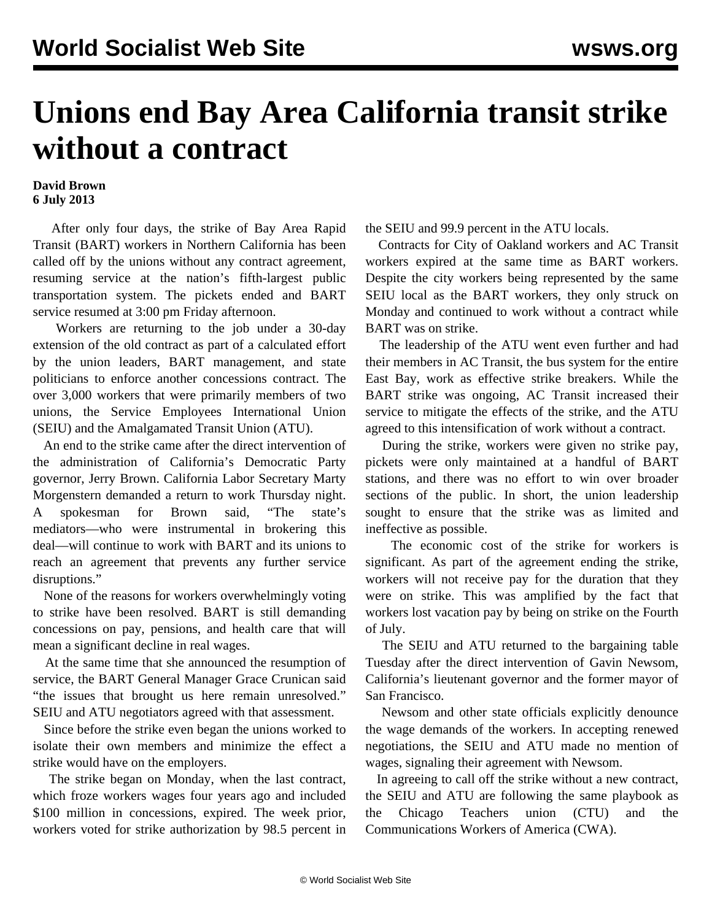## **Unions end Bay Area California transit strike without a contract**

## **David Brown 6 July 2013**

 After only four days, the strike of Bay Area Rapid Transit (BART) workers in Northern California has been called off by the unions without any contract agreement, resuming service at the nation's fifth-largest public transportation system. The pickets ended and BART service resumed at 3:00 pm Friday afternoon.

 Workers are returning to the job under a 30-day extension of the old contract as part of a calculated effort by the union leaders, BART management, and state politicians to enforce another concessions contract. The over 3,000 workers that were primarily members of two unions, the Service Employees International Union (SEIU) and the Amalgamated Transit Union (ATU).

 An end to the strike came after the direct intervention of the administration of California's Democratic Party governor, Jerry Brown. California Labor Secretary Marty Morgenstern demanded a return to work Thursday night. A spokesman for Brown said, "The state's mediators—who were instrumental in brokering this deal—will continue to work with BART and its unions to reach an agreement that prevents any further service disruptions."

 None of the reasons for workers overwhelmingly voting to strike have been resolved. BART is still demanding concessions on pay, pensions, and health care that will mean a significant decline in real wages.

 At the same time that she announced the resumption of service, the BART General Manager Grace Crunican said "the issues that brought us here remain unresolved." SEIU and ATU negotiators agreed with that assessment.

 Since before the strike even began the unions worked to isolate their own members and minimize the effect a strike would have on the employers.

 The strike began on Monday, when the last contract, which froze workers wages four years ago and included \$100 million in concessions, expired. The week prior, workers voted for strike authorization by 98.5 percent in the SEIU and 99.9 percent in the ATU locals.

 Contracts for City of Oakland workers and AC Transit workers expired at the same time as BART workers. Despite the city workers being represented by the same SEIU local as the BART workers, they only struck on Monday and continued to work without a contract while BART was on strike.

 The leadership of the ATU went even further and had their members in AC Transit, the bus system for the entire East Bay, work as effective strike breakers. While the BART strike was ongoing, AC Transit increased their service to mitigate the effects of the strike, and the ATU agreed to this intensification of work without a contract.

 During the strike, workers were given no strike pay, pickets were only maintained at a handful of BART stations, and there was no effort to win over broader sections of the public. In short, the union leadership sought to ensure that the strike was as limited and ineffective as possible.

 The economic cost of the strike for workers is significant. As part of the agreement ending the strike, workers will not receive pay for the duration that they were on strike. This was amplified by the fact that workers lost vacation pay by being on strike on the Fourth of July.

 The SEIU and ATU returned to the bargaining table Tuesday after the direct intervention of Gavin Newsom, California's lieutenant governor and the former mayor of San Francisco.

 Newsom and other state officials explicitly denounce the wage demands of the workers. In accepting renewed negotiations, the SEIU and ATU made no mention of wages, signaling their agreement with Newsom.

 In agreeing to call off the strike without a new contract, the SEIU and ATU are following the same playbook as the Chicago Teachers union (CTU) and the Communications Workers of America (CWA).